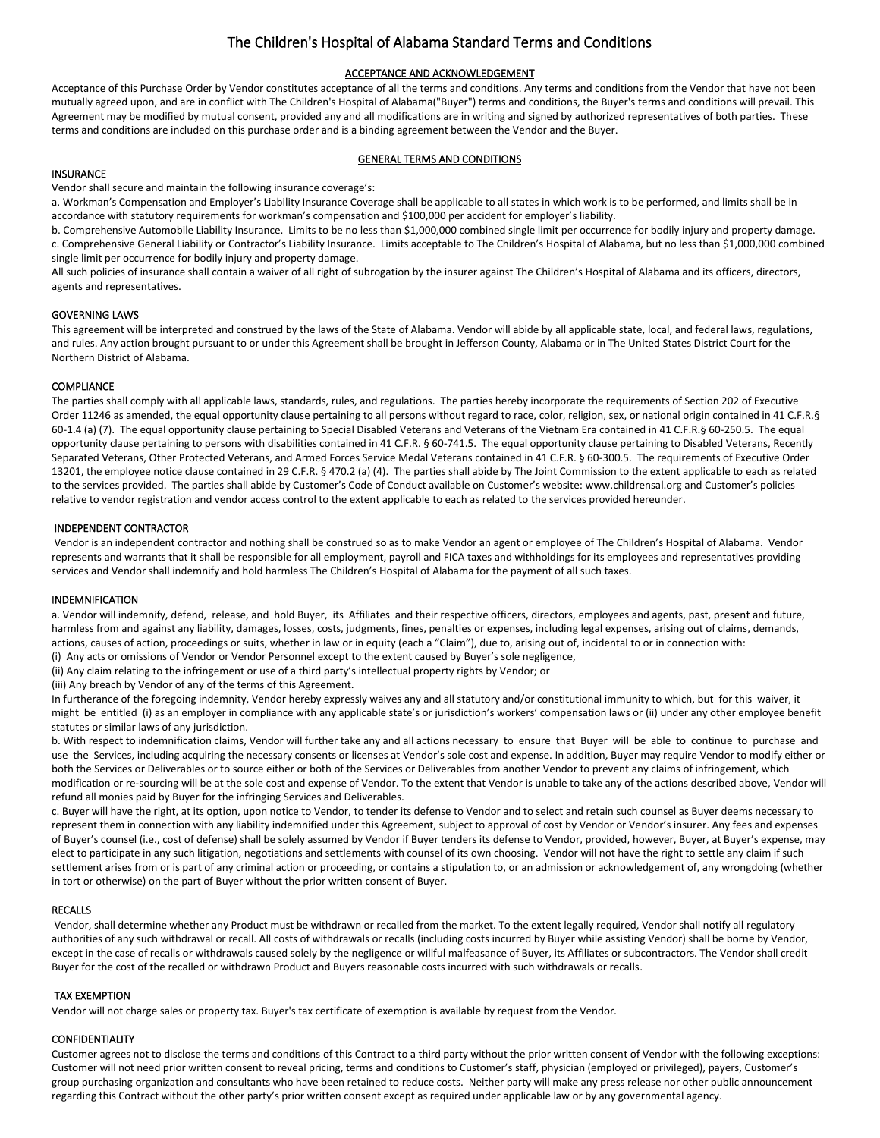# The Children's Hospital of Alabama Standard Terms and Conditions

## ACCEPTANCE AND ACKNOWLEDGEMENT

Acceptance of this Purchase Order by Vendor constitutes acceptance of all the terms and conditions. Any terms and conditions from the Vendor that have not been mutually agreed upon, and are in conflict with The Children's Hospital of Alabama("Buyer") terms and conditions, the Buyer's terms and conditions will prevail. This Agreement may be modified by mutual consent, provided any and all modifications are in writing and signed by authorized representatives of both parties. These terms and conditions are included on this purchase order and is a binding agreement between the Vendor and the Buyer.

## GENERAL TERMS AND CONDITIONS

## INSURANCE

Vendor shall secure and maintain the following insurance coverage's:

a. Workman's Compensation and Employer's Liability Insurance Coverage shall be applicable to all states in which work is to be performed, and limits shall be in accordance with statutory requirements for workman's compensation and \$100,000 per accident for employer's liability.

b. Comprehensive Automobile Liability Insurance. Limits to be no less than \$1,000,000 combined single limit per occurrence for bodily injury and property damage. c. Comprehensive General Liability or Contractor's Liability Insurance. Limits acceptable to The Children's Hospital of Alabama, but no less than \$1,000,000 combined single limit per occurrence for bodily injury and property damage.

All such policies of insurance shall contain a waiver of all right of subrogation by the insurer against The Children's Hospital of Alabama and its officers, directors, agents and representatives.

## GOVERNING LAWS

This agreement will be interpreted and construed by the laws of the State of Alabama. Vendor will abide by all applicable state, local, and federal laws, regulations, and rules. Any action brought pursuant to or under this Agreement shall be brought in Jefferson County, Alabama or in The United States District Court for the Northern District of Alabama.

## **COMPLIANCE**

The parties shall comply with all applicable laws, standards, rules, and regulations. The parties hereby incorporate the requirements of Section 202 of Executive Order 11246 as amended, the equal opportunity clause pertaining to all persons without regard to race, color, religion, sex, or national origin contained in 41 C.F.R.§ 60-1.4 (a) (7). The equal opportunity clause pertaining to Special Disabled Veterans and Veterans of the Vietnam Era contained in 41 C.F.R.§ 60-250.5. The equal opportunity clause pertaining to persons with disabilities contained in 41 C.F.R. § 60-741.5. The equal opportunity clause pertaining to Disabled Veterans, Recently Separated Veterans, Other Protected Veterans, and Armed Forces Service Medal Veterans contained in 41 C.F.R. § 60-300.5. The requirements of Executive Order 13201, the employee notice clause contained in 29 C.F.R. § 470.2 (a) (4). The parties shall abide by The Joint Commission to the extent applicable to each as related to the services provided. The parties shall abide by Customer's Code of Conduct available on Customer's website: [www.childrensal.org](http://www.childrensal.org/) and Customer's policies relative to vendor registration and vendor access control to the extent applicable to each as related to the services provided hereunder.

## INDEPENDENT CONTRACTOR

Vendor is an independent contractor and nothing shall be construed so as to make Vendor an agent or employee of The Children's Hospital of Alabama. Vendor represents and warrants that it shall be responsible for all employment, payroll and FICA taxes and withholdings for its employees and representatives providing services and Vendor shall indemnify and hold harmless The Children's Hospital of Alabama for the payment of all such taxes.

#### INDEMNIFICATION

a. Vendor will indemnify, defend, release, and hold Buyer, its Affiliates and their respective officers, directors, employees and agents, past, present and future, harmless from and against any liability, damages, losses, costs, judgments, fines, penalties or expenses, including legal expenses, arising out of claims, demands, actions, causes of action, proceedings or suits, whether in law or in equity (each a "Claim"), due to, arising out of, incidental to or in connection with: (i) Any acts or omissions of Vendor or Vendor Personnel except to the extent caused by Buyer's sole negligence,

(ii) Any claim relating to the infringement or use of a third party's intellectual property rights by Vendor; or

(iii) Any breach by Vendor of any of the terms of this Agreement.

In furtherance of the foregoing indemnity, Vendor hereby expressly waives any and all statutory and/or constitutional immunity to which, but for this waiver, it might be entitled (i) as an employer in compliance with any applicable state's or jurisdiction's workers' compensation laws or (ii) under any other employee benefit statutes or similar laws of any jurisdiction.

b. With respect to indemnification claims, Vendor will further take any and all actions necessary to ensure that Buyer will be able to continue to purchase and use the Services, including acquiring the necessary consents or licenses at Vendor's sole cost and expense. In addition, Buyer may require Vendor to modify either or both the Services or Deliverables or to source either or both of the Services or Deliverables from another Vendor to prevent any claims of infringement, which modification or re-sourcing will be at the sole cost and expense of Vendor. To the extent that Vendor is unable to take any of the actions described above, Vendor will refund all monies paid by Buyer for the infringing Services and Deliverables.

c. Buyer will have the right, at its option, upon notice to Vendor, to tender its defense to Vendor and to select and retain such counsel as Buyer deems necessary to represent them in connection with any liability indemnified under this Agreement, subject to approval of cost by Vendor or Vendor's insurer. Any fees and expenses of Buyer's counsel (i.e., cost of defense) shall be solely assumed by Vendor if Buyer tenders its defense to Vendor, provided, however, Buyer, at Buyer's expense, may elect to participate in any such litigation, negotiations and settlements with counsel of its own choosing. Vendor will not have the right to settle any claim if such settlement arises from or is part of any criminal action or proceeding, or contains a stipulation to, or an admission or acknowledgement of, any wrongdoing (whether in tort or otherwise) on the part of Buyer without the prior written consent of Buyer.

#### RECALLS

Vendor, shall determine whether any Product must be withdrawn or recalled from the market. To the extent legally required, Vendor shall notify all regulatory authorities of any such withdrawal or recall. All costs of withdrawals or recalls (including costs incurred by Buyer while assisting Vendor) shall be borne by Vendor, except in the case of recalls or withdrawals caused solely by the negligence or willful malfeasance of Buyer, its Affiliates or subcontractors. The Vendor shall credit Buyer for the cost of the recalled or withdrawn Product and Buyers reasonable costs incurred with such withdrawals or recalls.

#### TAX EXEMPTION

Vendor will not charge sales or property tax. Buyer's tax certificate of exemption is available by request from the Vendor.

## CONFIDENTIALITY

Customer agrees not to disclose the terms and conditions of this Contract to a third party without the prior written consent of Vendor with the following exceptions: Customer will not need prior written consent to reveal pricing, terms and conditions to Customer's staff, physician (employed or privileged), payers, Customer's group purchasing organization and consultants who have been retained to reduce costs. Neither party will make any press release nor other public announcement regarding this Contract without the other party's prior written consent except as required under applicable law or by any governmental agency.